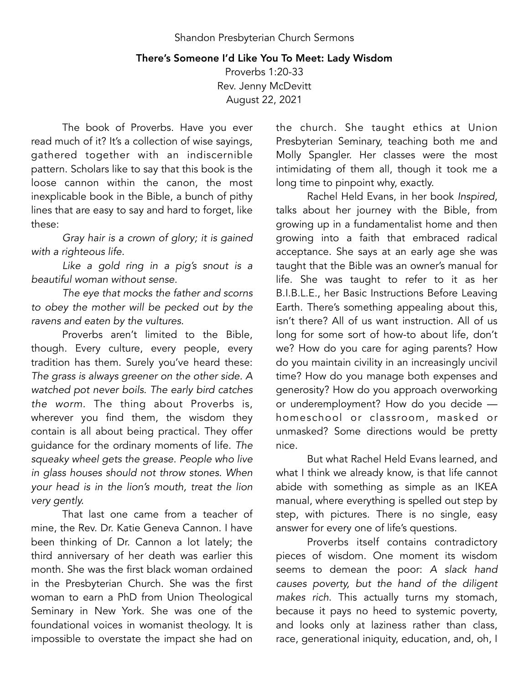## There's Someone I'd Like You To Meet: Lady Wisdom

Proverbs 1:20-33 Rev. Jenny McDevitt August 22, 2021

The book of Proverbs. Have you ever read much of it? It's a collection of wise sayings, gathered together with an indiscernible pattern. Scholars like to say that this book is the loose cannon within the canon, the most inexplicable book in the Bible, a bunch of pithy lines that are easy to say and hard to forget, like these:

*Gray hair is a crown of glory; it is gained with a righteous life.* 

*Like a gold ring in a pig's snout is a beautiful woman without sense.* 

*The eye that mocks the father and scorns to obey the mother will be pecked out by the ravens and eaten by the vultures.* 

Proverbs aren't limited to the Bible, though. Every culture, every people, every tradition has them. Surely you've heard these: *The grass is always greener on the other side. A watched pot never boils. The early bird catches the worm.* The thing about Proverbs is, wherever you find them, the wisdom they contain is all about being practical. They offer guidance for the ordinary moments of life. *The squeaky wheel gets the grease. People who live in glass houses should not throw stones. When your head is in the lion's mouth, treat the lion very gently.* 

That last one came from a teacher of mine, the Rev. Dr. Katie Geneva Cannon. I have been thinking of Dr. Cannon a lot lately; the third anniversary of her death was earlier this month. She was the first black woman ordained in the Presbyterian Church. She was the first woman to earn a PhD from Union Theological Seminary in New York. She was one of the foundational voices in womanist theology. It is impossible to overstate the impact she had on

the church. She taught ethics at Union Presbyterian Seminary, teaching both me and Molly Spangler. Her classes were the most intimidating of them all, though it took me a long time to pinpoint why, exactly.

Rachel Held Evans, in her book *Inspired*, talks about her journey with the Bible, from growing up in a fundamentalist home and then growing into a faith that embraced radical acceptance. She says at an early age she was taught that the Bible was an owner's manual for life. She was taught to refer to it as her B.I.B.L.E., her Basic Instructions Before Leaving Earth. There's something appealing about this, isn't there? All of us want instruction. All of us long for some sort of how-to about life, don't we? How do you care for aging parents? How do you maintain civility in an increasingly uncivil time? How do you manage both expenses and generosity? How do you approach overworking or underemployment? How do you decide homeschool or classroom, masked or unmasked? Some directions would be pretty nice.

But what Rachel Held Evans learned, and what I think we already know, is that life cannot abide with something as simple as an IKEA manual, where everything is spelled out step by step, with pictures. There is no single, easy answer for every one of life's questions.

Proverbs itself contains contradictory pieces of wisdom. One moment its wisdom seems to demean the poor: *A slack hand causes poverty, but the hand of the diligent makes rich*. This actually turns my stomach, because it pays no heed to systemic poverty, and looks only at laziness rather than class, race, generational iniquity, education, and, oh, I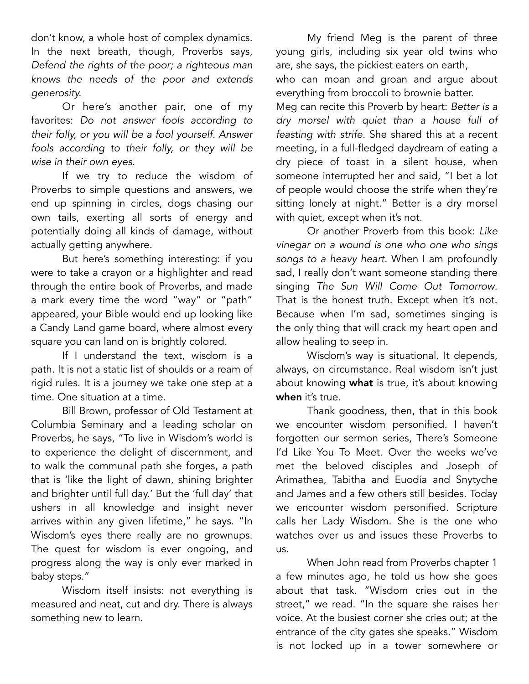don't know, a whole host of complex dynamics. In the next breath, though, Proverbs says, *Defend the rights of the poor; a righteous man knows the needs of the poor and extends generosity.* 

Or here's another pair, one of my favorites: *Do not answer fools according to their folly, or you will be a fool yourself. Answer fools according to their folly, or they will be wise in their own eyes.*

If we try to reduce the wisdom of Proverbs to simple questions and answers, we end up spinning in circles, dogs chasing our own tails, exerting all sorts of energy and potentially doing all kinds of damage, without actually getting anywhere.

But here's something interesting: if you were to take a crayon or a highlighter and read through the entire book of Proverbs, and made a mark every time the word "way" or "path" appeared, your Bible would end up looking like a Candy Land game board, where almost every square you can land on is brightly colored.

If I understand the text, wisdom is a path. It is not a static list of shoulds or a ream of rigid rules. It is a journey we take one step at a time. One situation at a time.

Bill Brown, professor of Old Testament at Columbia Seminary and a leading scholar on Proverbs, he says, "To live in Wisdom's world is to experience the delight of discernment, and to walk the communal path she forges, a path that is 'like the light of dawn, shining brighter and brighter until full day.' But the 'full day' that ushers in all knowledge and insight never arrives within any given lifetime," he says. "In Wisdom's eyes there really are no grownups. The quest for wisdom is ever ongoing, and progress along the way is only ever marked in baby steps."

Wisdom itself insists: not everything is measured and neat, cut and dry. There is always something new to learn.

My friend Meg is the parent of three young girls, including six year old twins who are, she says, the pickiest eaters on earth,

who can moan and groan and argue about everything from broccoli to brownie batter.

Meg can recite this Proverb by heart: *Better is a dry morsel with quiet than a house full of feasting with strife.* She shared this at a recent meeting, in a full-fledged daydream of eating a dry piece of toast in a silent house, when someone interrupted her and said, "I bet a lot of people would choose the strife when they're sitting lonely at night." Better is a dry morsel with quiet, except when it's not.

Or another Proverb from this book: *Like vinegar on a wound is one who one who sings songs to a heavy heart.* When I am profoundly sad, I really don't want someone standing there singing *The Sun Will Come Out Tomorrow*. That is the honest truth. Except when it's not. Because when I'm sad, sometimes singing is the only thing that will crack my heart open and allow healing to seep in.

Wisdom's way is situational. It depends, always, on circumstance. Real wisdom isn't just about knowing what is true, it's about knowing when it's true.

Thank goodness, then, that in this book we encounter wisdom personified. I haven't forgotten our sermon series, There's Someone I'd Like You To Meet. Over the weeks we've met the beloved disciples and Joseph of Arimathea, Tabitha and Euodia and Snytyche and James and a few others still besides. Today we encounter wisdom personified. Scripture calls her Lady Wisdom. She is the one who watches over us and issues these Proverbs to us.

When John read from Proverbs chapter 1 a few minutes ago, he told us how she goes about that task. "Wisdom cries out in the street," we read. "In the square she raises her voice. At the busiest corner she cries out; at the entrance of the city gates she speaks." Wisdom is not locked up in a tower somewhere or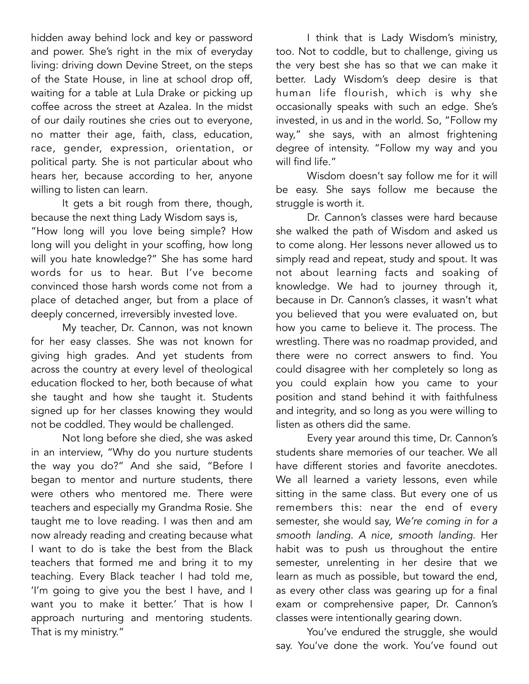hidden away behind lock and key or password and power. She's right in the mix of everyday living: driving down Devine Street, on the steps of the State House, in line at school drop off, waiting for a table at Lula Drake or picking up coffee across the street at Azalea. In the midst of our daily routines she cries out to everyone, no matter their age, faith, class, education, race, gender, expression, orientation, or political party. She is not particular about who hears her, because according to her, anyone willing to listen can learn.

It gets a bit rough from there, though, because the next thing Lady Wisdom says is, "How long will you love being simple? How long will you delight in your scoffing, how long will you hate knowledge?" She has some hard words for us to hear. But I've become convinced those harsh words come not from a place of detached anger, but from a place of deeply concerned, irreversibly invested love.

My teacher, Dr. Cannon, was not known for her easy classes. She was not known for giving high grades. And yet students from across the country at every level of theological education flocked to her, both because of what she taught and how she taught it. Students signed up for her classes knowing they would not be coddled. They would be challenged.

Not long before she died, she was asked in an interview, "Why do you nurture students the way you do?" And she said, "Before I began to mentor and nurture students, there were others who mentored me. There were teachers and especially my Grandma Rosie. She taught me to love reading. I was then and am now already reading and creating because what I want to do is take the best from the Black teachers that formed me and bring it to my teaching. Every Black teacher I had told me, 'I'm going to give you the best I have, and I want you to make it better.' That is how I approach nurturing and mentoring students. That is my ministry."

I think that is Lady Wisdom's ministry, too. Not to coddle, but to challenge, giving us the very best she has so that we can make it better. Lady Wisdom's deep desire is that human life flourish, which is why she occasionally speaks with such an edge. She's invested, in us and in the world. So, "Follow my way," she says, with an almost frightening degree of intensity. "Follow my way and you will find life."

Wisdom doesn't say follow me for it will be easy. She says follow me because the struggle is worth it.

Dr. Cannon's classes were hard because she walked the path of Wisdom and asked us to come along. Her lessons never allowed us to simply read and repeat, study and spout. It was not about learning facts and soaking of knowledge. We had to journey through it, because in Dr. Cannon's classes, it wasn't what you believed that you were evaluated on, but how you came to believe it. The process. The wrestling. There was no roadmap provided, and there were no correct answers to find. You could disagree with her completely so long as you could explain how you came to your position and stand behind it with faithfulness and integrity, and so long as you were willing to listen as others did the same.

Every year around this time, Dr. Cannon's students share memories of our teacher. We all have different stories and favorite anecdotes. We all learned a variety lessons, even while sitting in the same class. But every one of us remembers this: near the end of every semester, she would say, *We're coming in for a smooth landing. A nice, smooth landing.* Her habit was to push us throughout the entire semester, unrelenting in her desire that we learn as much as possible, but toward the end, as every other class was gearing up for a final exam or comprehensive paper, Dr. Cannon's classes were intentionally gearing down.

You've endured the struggle, she would say. You've done the work. You've found out